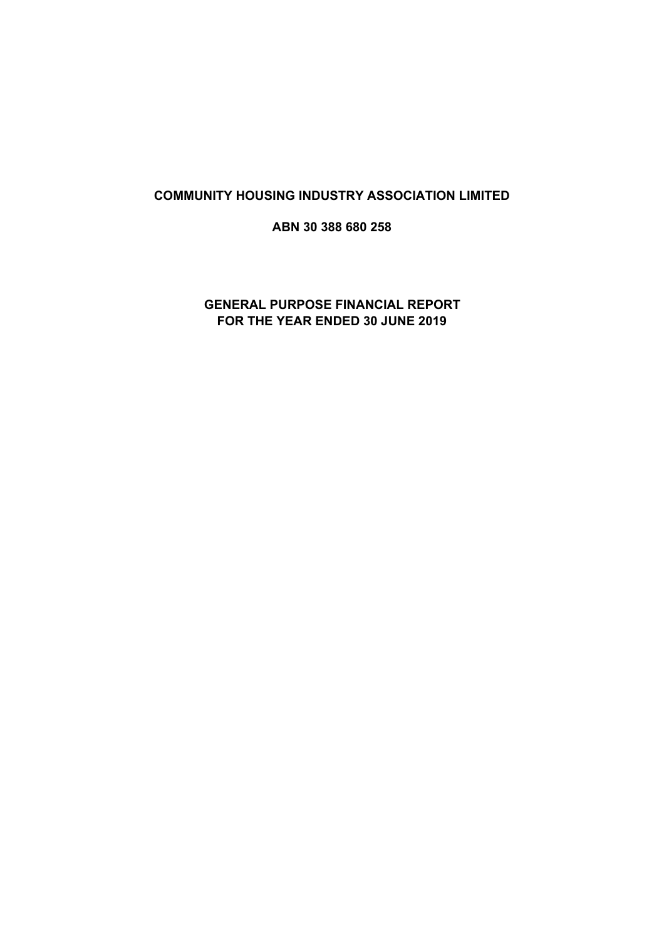# **COMMUNITY HOUSING INDUSTRY ASSOCIATION LIMITED**

**ABN 30 388 680 258**

# **GENERAL PURPOSE FINANCIAL REPORT FOR THE YEAR ENDED 30 JUNE 2019**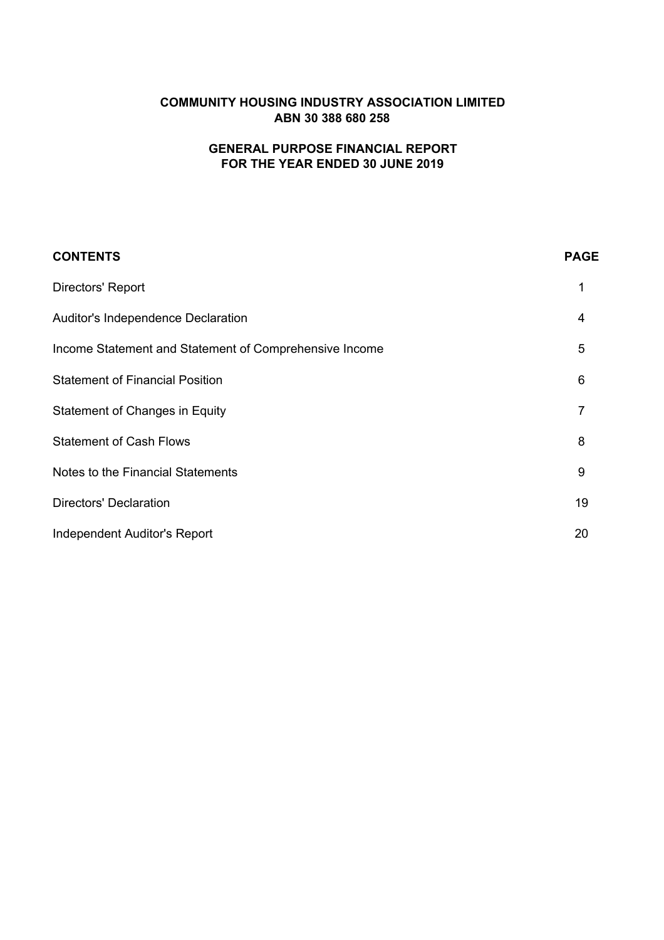# **COMMUNITY HOUSING INDUSTRY ASSOCIATION LIMITED ABN 30 388 680 258**

# **FOR THE YEAR ENDED 30 JUNE 2019 GENERAL PURPOSE FINANCIAL REPORT**

| <b>CONTENTS</b>                                        | <b>PAGE</b>    |
|--------------------------------------------------------|----------------|
| Directors' Report                                      | 1              |
| <b>Auditor's Independence Declaration</b>              | 4              |
| Income Statement and Statement of Comprehensive Income | 5              |
| <b>Statement of Financial Position</b>                 | 6              |
| <b>Statement of Changes in Equity</b>                  | $\overline{7}$ |
| <b>Statement of Cash Flows</b>                         | 8              |
| Notes to the Financial Statements                      | 9              |
| <b>Directors' Declaration</b>                          | 19             |
| <b>Independent Auditor's Report</b>                    | 20             |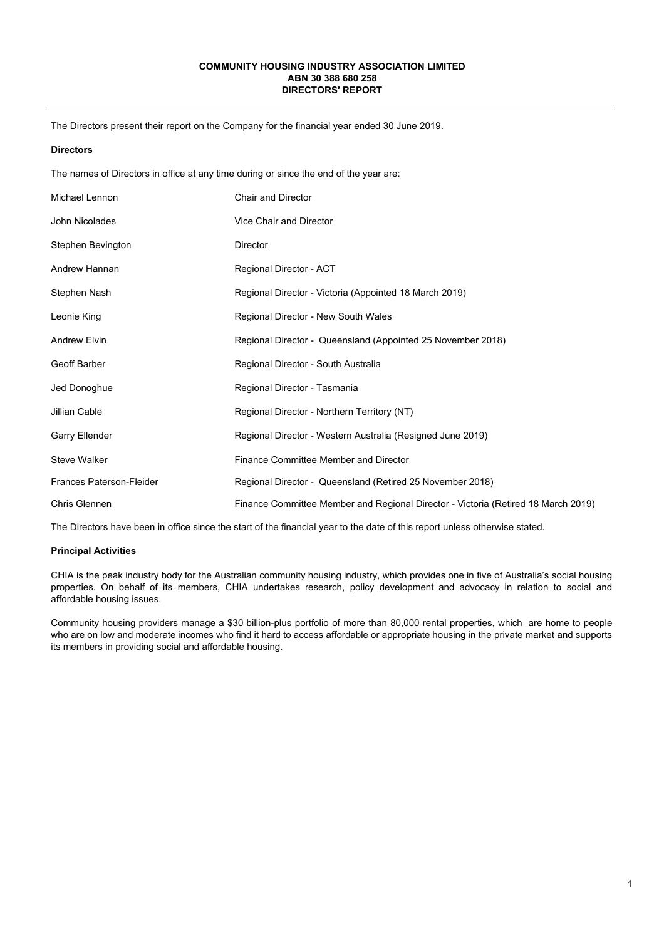#### **COMMUNITY HOUSING INDUSTRY ASSOCIATION LIMITED ABN 30 388 680 258 DIRECTORS' REPORT**

The Directors present their report on the Company for the financial year ended 30 June 2019.

#### **Directors**

The names of Directors in office at any time during or since the end of the year are:

| Michael Lennon                  | <b>Chair and Director</b>                                                         |
|---------------------------------|-----------------------------------------------------------------------------------|
| John Nicolades                  | Vice Chair and Director                                                           |
| Stephen Bevington               | <b>Director</b>                                                                   |
| Andrew Hannan                   | Regional Director - ACT                                                           |
| Stephen Nash                    | Regional Director - Victoria (Appointed 18 March 2019)                            |
| Leonie King                     | Regional Director - New South Wales                                               |
| Andrew Elvin                    | Regional Director - Queensland (Appointed 25 November 2018)                       |
| Geoff Barber                    | Regional Director - South Australia                                               |
| Jed Donoghue                    | Regional Director - Tasmania                                                      |
| Jillian Cable                   | Regional Director - Northern Territory (NT)                                       |
| Garry Ellender                  | Regional Director - Western Australia (Resigned June 2019)                        |
| <b>Steve Walker</b>             | Finance Committee Member and Director                                             |
| <b>Frances Paterson-Fleider</b> | Regional Director - Queensland (Retired 25 November 2018)                         |
| <b>Chris Glennen</b>            | Finance Committee Member and Regional Director - Victoria (Retired 18 March 2019) |

The Directors have been in office since the start of the financial year to the date of this report unless otherwise stated.

#### **Principal Activities**

CHIA is the peak industry body for the Australian community housing industry, which provides one in five of Australia's social housing properties. On behalf of its members, CHIA undertakes research, policy development and advocacy in relation to social and affordable housing issues.

Community housing providers manage a \$30 billion-plus portfolio of more than 80,000 rental properties, which are home to people who are on low and moderate incomes who find it hard to access affordable or appropriate housing in the private market and supports its members in providing social and affordable housing.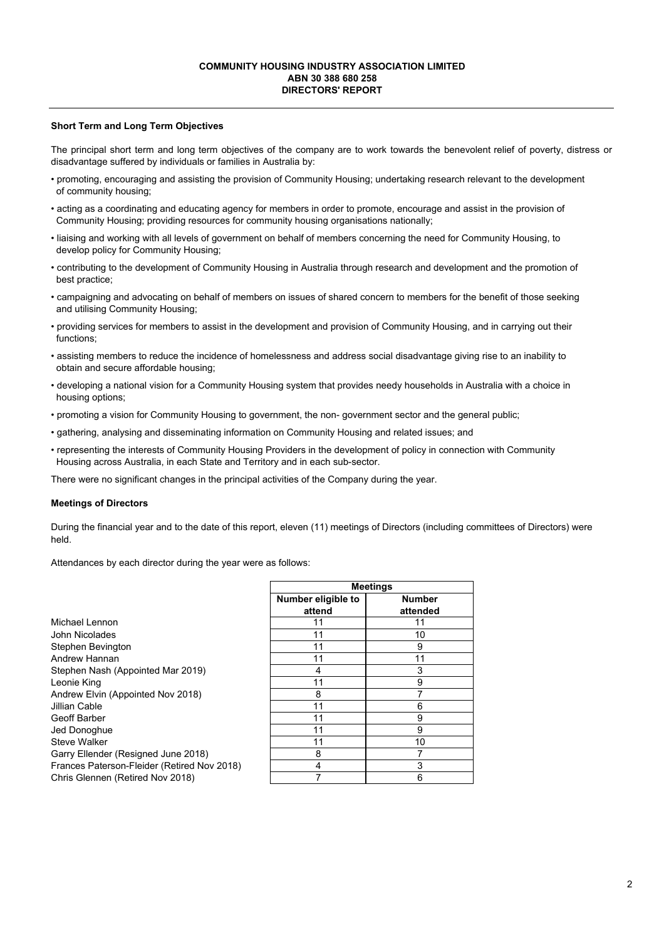#### **COMMUNITY HOUSING INDUSTRY ASSOCIATION LIMITED ABN 30 388 680 258 DIRECTORS' REPORT**

#### **Short Term and Long Term Objectives**

The principal short term and long term objectives of the company are to work towards the benevolent relief of poverty, distress or disadvantage suffered by individuals or families in Australia by:

- promoting, encouraging and assisting the provision of Community Housing; undertaking research relevant to the development of community housing;
- acting as a coordinating and educating agency for members in order to promote, encourage and assist in the provision of Community Housing; providing resources for community housing organisations nationally;
- liaising and working with all levels of government on behalf of members concerning the need for Community Housing, to develop policy for Community Housing;
- contributing to the development of Community Housing in Australia through research and development and the promotion of best practice;
- campaigning and advocating on behalf of members on issues of shared concern to members for the benefit of those seeking and utilising Community Housing;
- providing services for members to assist in the development and provision of Community Housing, and in carrying out their functions;
- assisting members to reduce the incidence of homelessness and address social disadvantage giving rise to an inability to obtain and secure affordable housing;
- developing a national vision for a Community Housing system that provides needy households in Australia with a choice in housing options;
- promoting a vision for Community Housing to government, the non- government sector and the general public;
- gathering, analysing and disseminating information on Community Housing and related issues; and
- representing the interests of Community Housing Providers in the development of policy in connection with Community Housing across Australia, in each State and Territory and in each sub-sector.

There were no significant changes in the principal activities of the Company during the year.

#### **Meetings of Directors**

During the financial year and to the date of this report, eleven (11) meetings of Directors (including committees of Directors) were held.

Attendances by each director during the year were as follows:

| Michael Lennon                              |
|---------------------------------------------|
| John Nicolades                              |
| Stephen Bevington                           |
| Andrew Hannan                               |
| Stephen Nash (Appointed Mar 2019)           |
| Leonie King                                 |
| Andrew Elvin (Appointed Nov 2018)           |
| Jillian Cable                               |
| Geoff Barber                                |
| Jed Donoghue                                |
| Steve Walker                                |
| Garry Ellender (Resigned June 2018)         |
| Frances Paterson-Fleider (Retired Nov 2018) |
| Chris Glennen (Retired Nov 2018)            |

|                    | <b>Meetings</b> |
|--------------------|-----------------|
| Number eligible to | <b>Number</b>   |
| attend             | attended        |
| 11                 | 11              |
| 11                 | 10              |
| 11                 | 9               |
| 11                 | 11              |
| 4                  | 3               |
| 11                 | 9               |
| 8                  |                 |
| 11                 | 6               |
| 11                 | 9               |
| 11                 | 9               |
| 11                 | 10              |
| 8                  |                 |
| 4                  | 3               |
|                    | 6               |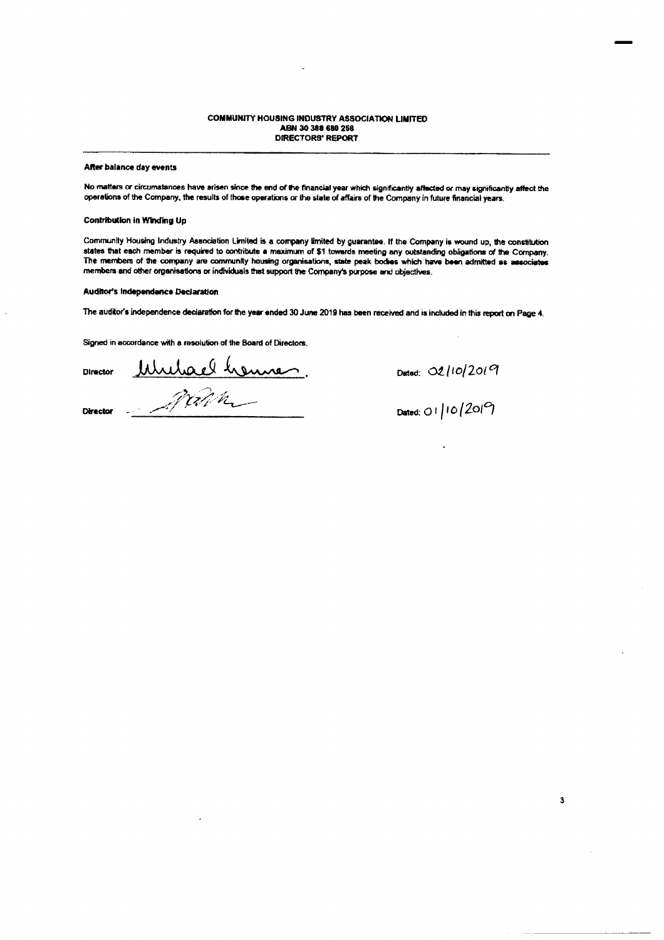#### **COMMUNITY HOUSING INDUSTRY ASSOCIATION LIMITED** ABN 30 388 680 258 **DIRECTORS' REPORT**

#### After balance day events

No matters or circumstances have arisen since the end of the financial year which significantly affected or may significantly affect the operations of the Company, the results of those operations or the state of affairs of the Company in future financial years.

#### **Contribution in Winding Up**

Community Housing Industry Association Limited is a company limited by guarantee. If the Company is wound up, the constitution states that each member is required to contribute a maximum of \$1 towards meeting any outstanding obligations of the Company. The members of the company are community housing organisations, state peak bodies which have been admitted as associates members and other organisations or individuals that support the Company's purpose and objectives.

#### **Auditor's Independence Declaration**

The auditor's independence declaration for the year ended 30 June 2019 has been received and is included in this report on Page 4.

Signed in accordance with a resolution of the Board of Directors,

Director

Mulaelhenne. **Director** 

Dated: 02/10/2019

Dated: 01/10/2019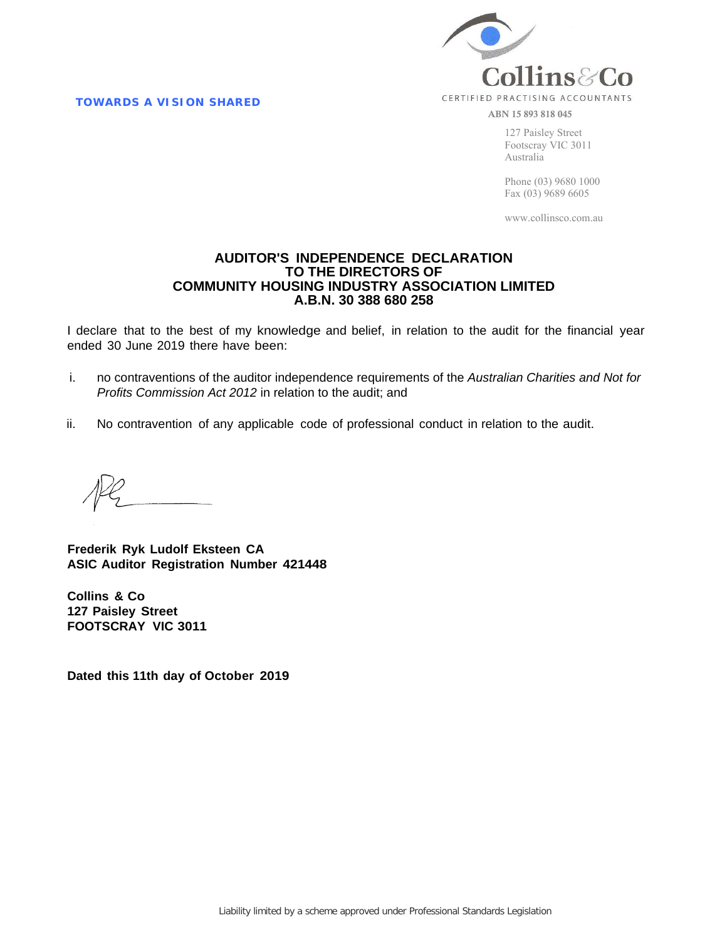**TOWARDS A VISION SHARED** 



ABN 15 893 818 045

127 Paisley Street Footscray VIC 3011 Australia

Phone (03) 9680 1000 Fax (03) 9689 6605

www.collinsco.com.au

# **AUDITOR'S INDEPENDENCE DECLARATION TO THE DIRECTORS OF COMMUNITY HOUSING INDUSTRY ASSOCIATION LIMITED A.B.N. 30 388 680 258**

I declare that to the best of my knowledge and belief, in relation to the audit for the financial year ended 30 June 2019 there have been:

- i. no contraventions of the auditor independence requirements of the *Australian Charities and Not for Profits Commission Act 2012* in relation to the audit; and
- ii. No contravention of any applicable code of professional conduct in relation to the audit.

**Frederik Ryk Ludolf Eksteen CA ASIC Auditor Registration Number 421448**

**Collins & Co 127 Paisley Street FOOTSCRAY VIC 3011**

**Dated this 11th day of October 2019**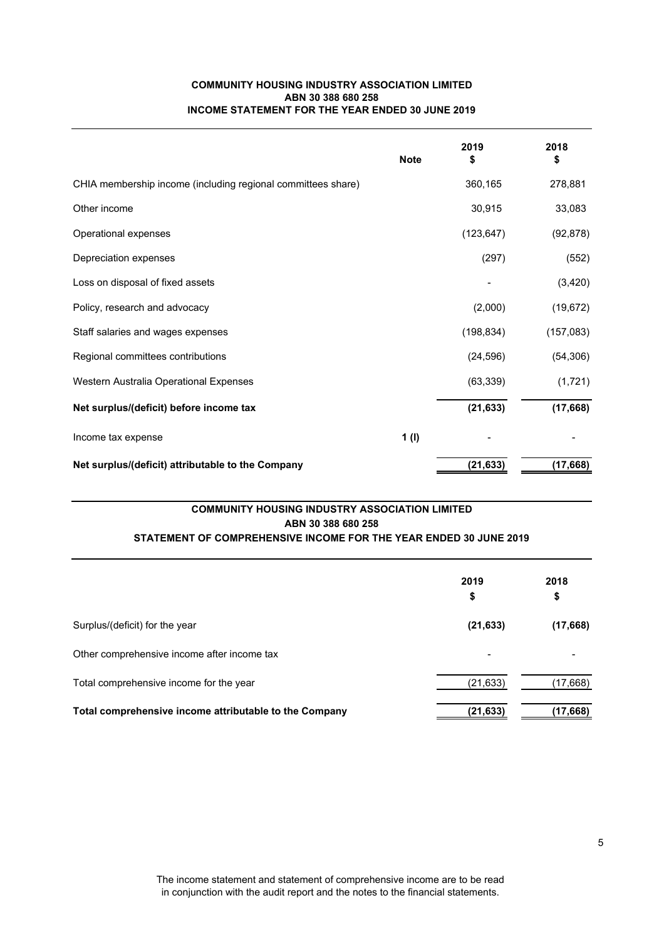# **COMMUNITY HOUSING INDUSTRY ASSOCIATION LIMITED ABN 30 388 680 258 INCOME STATEMENT FOR THE YEAR ENDED 30 JUNE 2019**

|                                                              | <b>Note</b> | 2019<br>\$ | 2018<br>\$ |
|--------------------------------------------------------------|-------------|------------|------------|
| CHIA membership income (including regional committees share) |             | 360,165    | 278,881    |
| Other income                                                 |             | 30,915     | 33,083     |
| Operational expenses                                         |             | (123, 647) | (92, 878)  |
| Depreciation expenses                                        |             | (297)      | (552)      |
| Loss on disposal of fixed assets                             |             |            | (3,420)    |
| Policy, research and advocacy                                |             | (2,000)    | (19, 672)  |
| Staff salaries and wages expenses                            |             | (198, 834) | (157,083)  |
| Regional committees contributions                            |             | (24, 596)  | (54, 306)  |
| Western Australia Operational Expenses                       |             | (63, 339)  | (1, 721)   |
| Net surplus/(deficit) before income tax                      |             | (21, 633)  | (17,668)   |
| Income tax expense                                           | 1(1)        |            |            |
| Net surplus/(deficit) attributable to the Company            |             | (21, 633)  | (17, 668)  |

# **COMMUNITY HOUSING INDUSTRY ASSOCIATION LIMITED ABN 30 388 680 258**

# **STATEMENT OF COMPREHENSIVE INCOME FOR THE YEAR ENDED 30 JUNE 2019**

|                                                        | 2019<br>\$ | 2018<br>\$ |
|--------------------------------------------------------|------------|------------|
| Surplus/(deficit) for the year                         | (21, 633)  | (17,668)   |
| Other comprehensive income after income tax            |            |            |
| Total comprehensive income for the year                | (21, 633)  | (17, 668)  |
| Total comprehensive income attributable to the Company | (21, 633)  | (17, 668)  |

The income statement and statement of comprehensive income are to be read in conjunction with the audit report and the notes to the financial statements.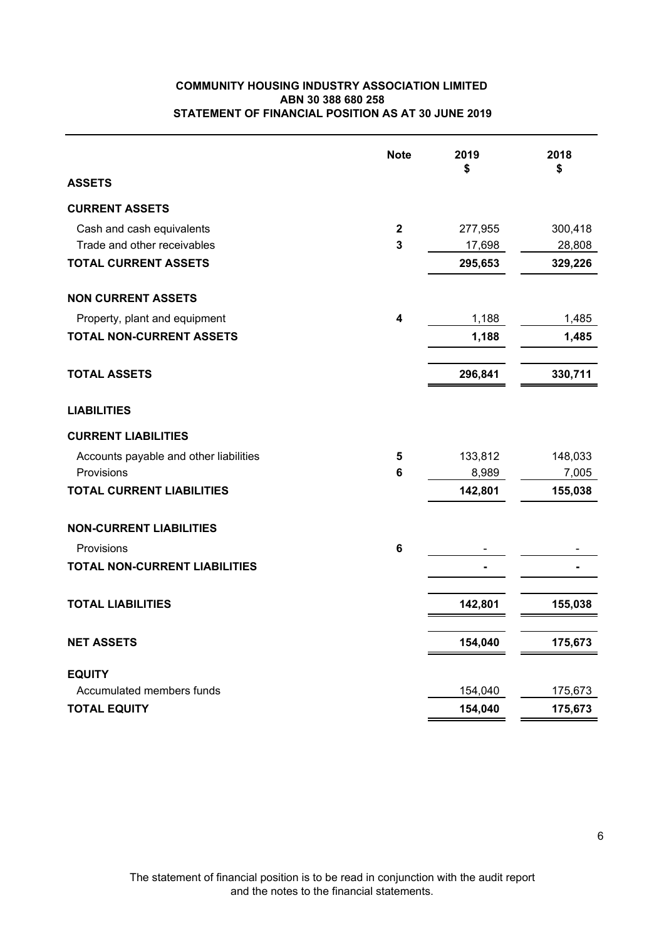# **COMMUNITY HOUSING INDUSTRY ASSOCIATION LIMITED STATEMENT OF FINANCIAL POSITION AS AT 30 JUNE 2019 ABN 30 388 680 258**

|                                        | <b>Note</b>             | 2019<br>\$ | 2018<br>\$ |
|----------------------------------------|-------------------------|------------|------------|
| <b>ASSETS</b>                          |                         |            |            |
| <b>CURRENT ASSETS</b>                  |                         |            |            |
| Cash and cash equivalents              | $\mathbf{2}$            | 277,955    | 300,418    |
| Trade and other receivables            | $\overline{3}$          | 17,698     | 28,808     |
| <b>TOTAL CURRENT ASSETS</b>            |                         | 295,653    | 329,226    |
| <b>NON CURRENT ASSETS</b>              |                         |            |            |
| Property, plant and equipment          | $\overline{\mathbf{4}}$ | 1,188      | 1,485      |
| <b>TOTAL NON-CURRENT ASSETS</b>        |                         | 1,188      | 1,485      |
| <b>TOTAL ASSETS</b>                    |                         | 296,841    | 330,711    |
| <b>LIABILITIES</b>                     |                         |            |            |
| <b>CURRENT LIABILITIES</b>             |                         |            |            |
| Accounts payable and other liabilities | 5                       | 133,812    | 148,033    |
| Provisions                             | $6\phantom{1}6$         | 8,989      | 7,005      |
| <b>TOTAL CURRENT LIABILITIES</b>       |                         | 142,801    | 155,038    |
| <b>NON-CURRENT LIABILITIES</b>         |                         |            |            |
| Provisions                             | $6\phantom{1}$          |            |            |
| <b>TOTAL NON-CURRENT LIABILITIES</b>   |                         |            |            |
| <b>TOTAL LIABILITIES</b>               |                         | 142,801    | 155,038    |
|                                        |                         |            |            |
| <b>NET ASSETS</b>                      |                         | 154,040    | 175,673    |
| <b>EQUITY</b>                          |                         |            |            |
| Accumulated members funds              |                         | 154,040    | 175,673    |
| <b>TOTAL EQUITY</b>                    |                         | 154,040    | 175,673    |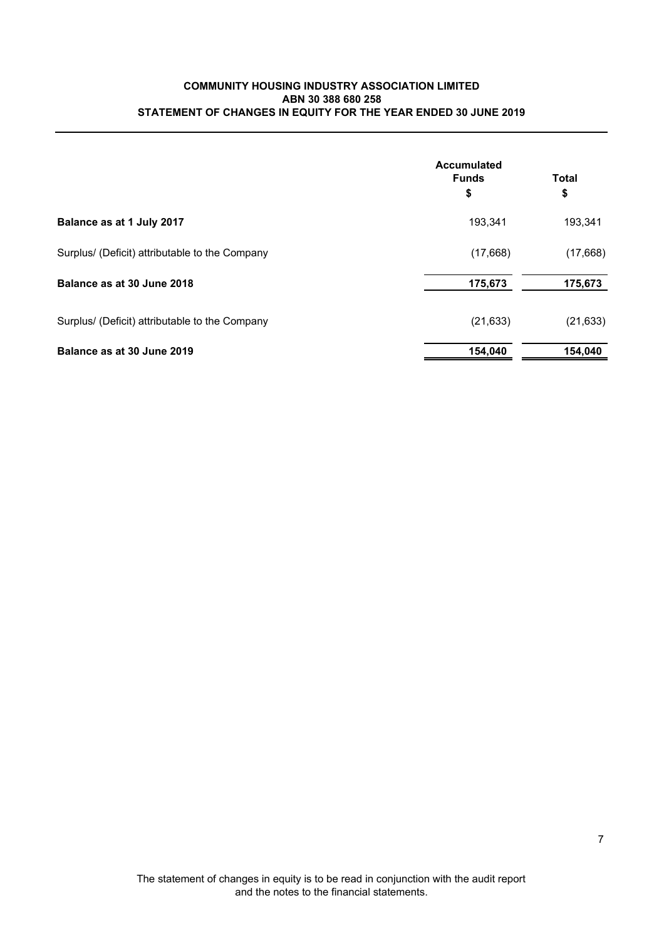# **COMMUNITY HOUSING INDUSTRY ASSOCIATION LIMITED STATEMENT OF CHANGES IN EQUITY FOR THE YEAR ENDED 30 JUNE 2019 ABN 30 388 680 258**

|                                                | Accumulated<br><b>Funds</b><br>\$ | <b>Total</b><br>\$ |  |
|------------------------------------------------|-----------------------------------|--------------------|--|
|                                                |                                   |                    |  |
| Balance as at 1 July 2017                      | 193,341                           | 193,341            |  |
| Surplus/ (Deficit) attributable to the Company | (17,668)                          | (17,668)           |  |
| Balance as at 30 June 2018                     | 175,673                           | 175,673            |  |
| Surplus/ (Deficit) attributable to the Company | (21, 633)                         | (21, 633)          |  |
| Balance as at 30 June 2019                     | 154,040                           | 154,040            |  |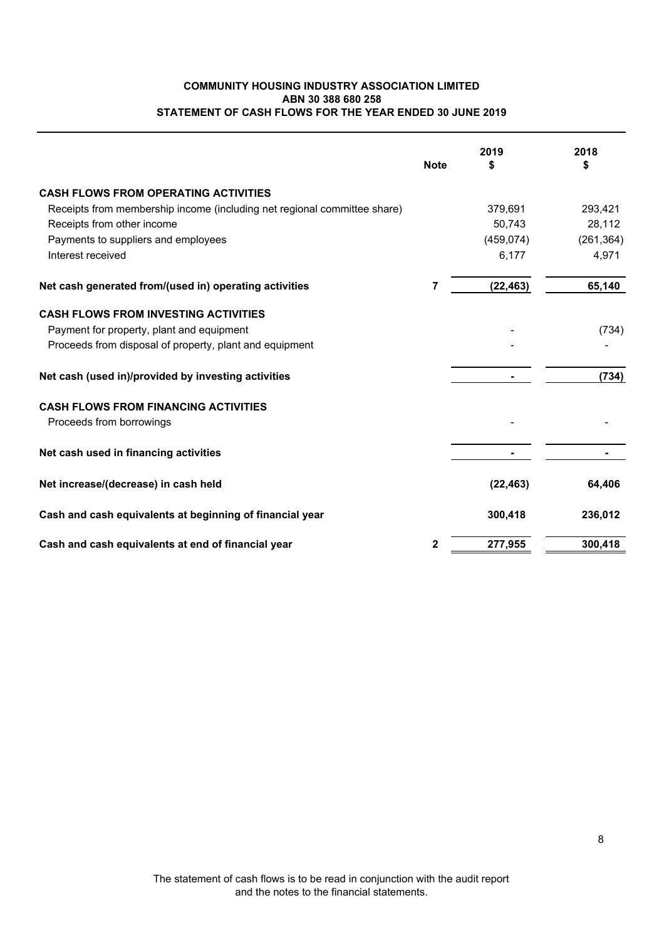# **COMMUNITY HOUSING INDUSTRY ASSOCIATION LIMITED ABN 30 388 680 258 STATEMENT OF CASH FLOWS FOR THE YEAR ENDED 30 JUNE 2019**

|                                                                          | <b>Note</b>  | 2019<br>S  | 2018<br>\$ |
|--------------------------------------------------------------------------|--------------|------------|------------|
| <b>CASH FLOWS FROM OPERATING ACTIVITIES</b>                              |              |            |            |
| Receipts from membership income (including net regional committee share) |              | 379,691    | 293,421    |
| Receipts from other income                                               |              | 50,743     | 28,112     |
| Payments to suppliers and employees                                      |              | (459, 074) | (261, 364) |
| Interest received                                                        |              | 6,177      | 4,971      |
| Net cash generated from/(used in) operating activities                   | 7            | (22, 463)  | 65,140     |
| <b>CASH FLOWS FROM INVESTING ACTIVITIES</b>                              |              |            |            |
| Payment for property, plant and equipment                                |              |            | (734)      |
| Proceeds from disposal of property, plant and equipment                  |              |            |            |
| Net cash (used in)/provided by investing activities                      |              |            | (734)      |
| <b>CASH FLOWS FROM FINANCING ACTIVITIES</b>                              |              |            |            |
| Proceeds from borrowings                                                 |              |            |            |
| Net cash used in financing activities                                    |              |            |            |
| Net increase/(decrease) in cash held                                     |              | (22, 463)  | 64,406     |
| Cash and cash equivalents at beginning of financial year                 |              | 300,418    | 236,012    |
| Cash and cash equivalents at end of financial year                       | $\mathbf{2}$ | 277,955    | 300,418    |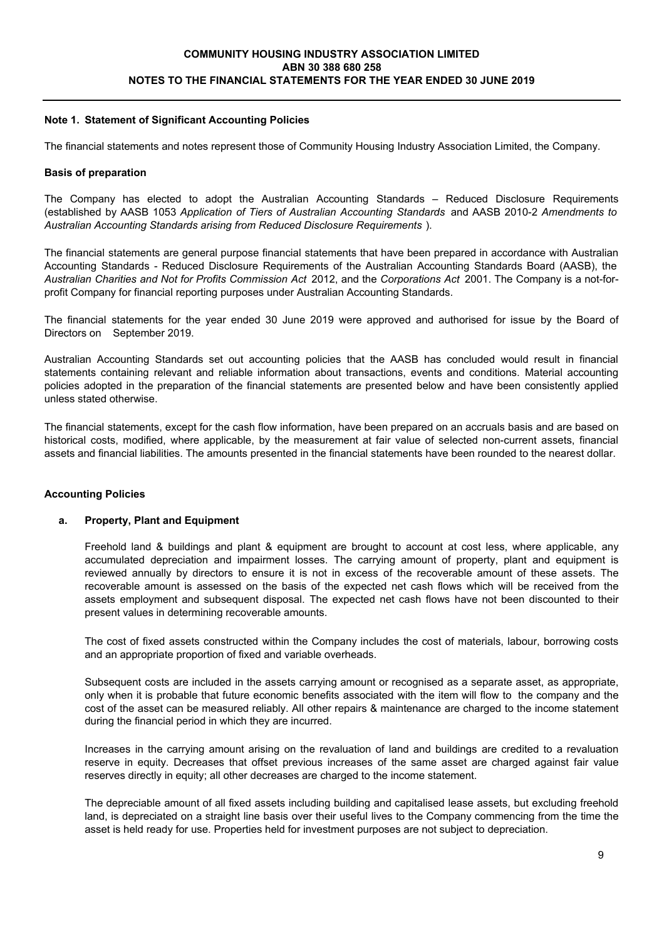# **Note 1. Statement of Significant Accounting Policies**

The financial statements and notes represent those of Community Housing Industry Association Limited, the Company.

### **Basis of preparation**

The Company has elected to adopt the Australian Accounting Standards – Reduced Disclosure Requirements (established by AASB 1053 *Application of Tiers of Australian Accounting Standards* and AASB 2010-2 *Amendments to Australian Accounting Standards arising from Reduced Disclosure Requirements* ).

The financial statements are general purpose financial statements that have been prepared in accordance with Australian Accounting Standards - Reduced Disclosure Requirements of the Australian Accounting Standards Board (AASB), the *Australian Charities and Not for Profits Commission Act* 2012, and the *Corporations Act* 2001. The Company is a not-forprofit Company for financial reporting purposes under Australian Accounting Standards.

The financial statements for the year ended 30 June 2019 were approved and authorised for issue by the Board of Directors on September 2019.

Australian Accounting Standards set out accounting policies that the AASB has concluded would result in financial statements containing relevant and reliable information about transactions, events and conditions. Material accounting policies adopted in the preparation of the financial statements are presented below and have been consistently applied unless stated otherwise.

The financial statements, except for the cash flow information, have been prepared on an accruals basis and are based on historical costs, modified, where applicable, by the measurement at fair value of selected non-current assets, financial assets and financial liabilities. The amounts presented in the financial statements have been rounded to the nearest dollar.

# **Accounting Policies**

#### **a. Property, Plant and Equipment**

Freehold land & buildings and plant & equipment are brought to account at cost less, where applicable, any accumulated depreciation and impairment losses. The carrying amount of property, plant and equipment is reviewed annually by directors to ensure it is not in excess of the recoverable amount of these assets. The recoverable amount is assessed on the basis of the expected net cash flows which will be received from the assets employment and subsequent disposal. The expected net cash flows have not been discounted to their present values in determining recoverable amounts.

The cost of fixed assets constructed within the Company includes the cost of materials, labour, borrowing costs and an appropriate proportion of fixed and variable overheads.

Subsequent costs are included in the assets carrying amount or recognised as a separate asset, as appropriate, only when it is probable that future economic benefits associated with the item will flow to the company and the cost of the asset can be measured reliably. All other repairs & maintenance are charged to the income statement during the financial period in which they are incurred.

Increases in the carrying amount arising on the revaluation of land and buildings are credited to a revaluation reserve in equity. Decreases that offset previous increases of the same asset are charged against fair value reserves directly in equity; all other decreases are charged to the income statement.

The depreciable amount of all fixed assets including building and capitalised lease assets, but excluding freehold land, is depreciated on a straight line basis over their useful lives to the Company commencing from the time the asset is held ready for use. Properties held for investment purposes are not subject to depreciation.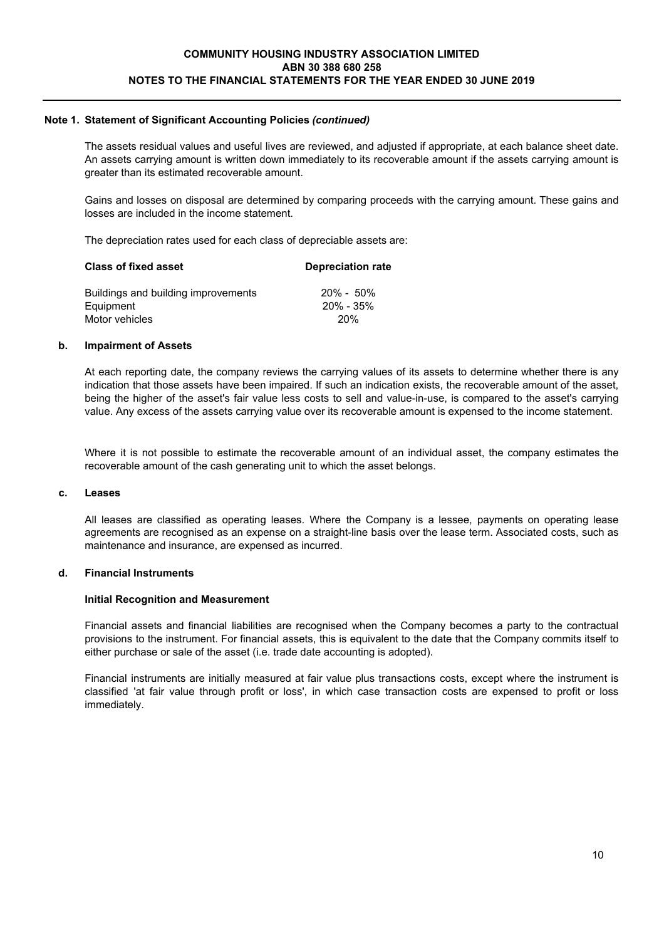The assets residual values and useful lives are reviewed, and adjusted if appropriate, at each balance sheet date. An assets carrying amount is written down immediately to its recoverable amount if the assets carrying amount is greater than its estimated recoverable amount.

Gains and losses on disposal are determined by comparing proceeds with the carrying amount. These gains and losses are included in the income statement.

The depreciation rates used for each class of depreciable assets are:

| <b>Class of fixed asset</b>         | <b>Depreciation rate</b> |  |
|-------------------------------------|--------------------------|--|
| Buildings and building improvements | $20\% - 50\%$            |  |
| Equipment                           | 20% - 35%                |  |
| Motor vehicles                      | <b>20%</b>               |  |

### **b. Impairment of Assets**

At each reporting date, the company reviews the carrying values of its assets to determine whether there is any indication that those assets have been impaired. If such an indication exists, the recoverable amount of the asset, being the higher of the asset's fair value less costs to sell and value-in-use, is compared to the asset's carrying value. Any excess of the assets carrying value over its recoverable amount is expensed to the income statement.

Where it is not possible to estimate the recoverable amount of an individual asset, the company estimates the recoverable amount of the cash generating unit to which the asset belongs.

## **c. Leases**

All leases are classified as operating leases. Where the Company is a lessee, payments on operating lease agreements are recognised as an expense on a straight-line basis over the lease term. Associated costs, such as maintenance and insurance, are expensed as incurred.

# **d. Financial Instruments**

#### **Initial Recognition and Measurement**

Financial assets and financial liabilities are recognised when the Company becomes a party to the contractual provisions to the instrument. For financial assets, this is equivalent to the date that the Company commits itself to either purchase or sale of the asset (i.e. trade date accounting is adopted).

Financial instruments are initially measured at fair value plus transactions costs, except where the instrument is classified 'at fair value through profit or loss', in which case transaction costs are expensed to profit or loss immediately.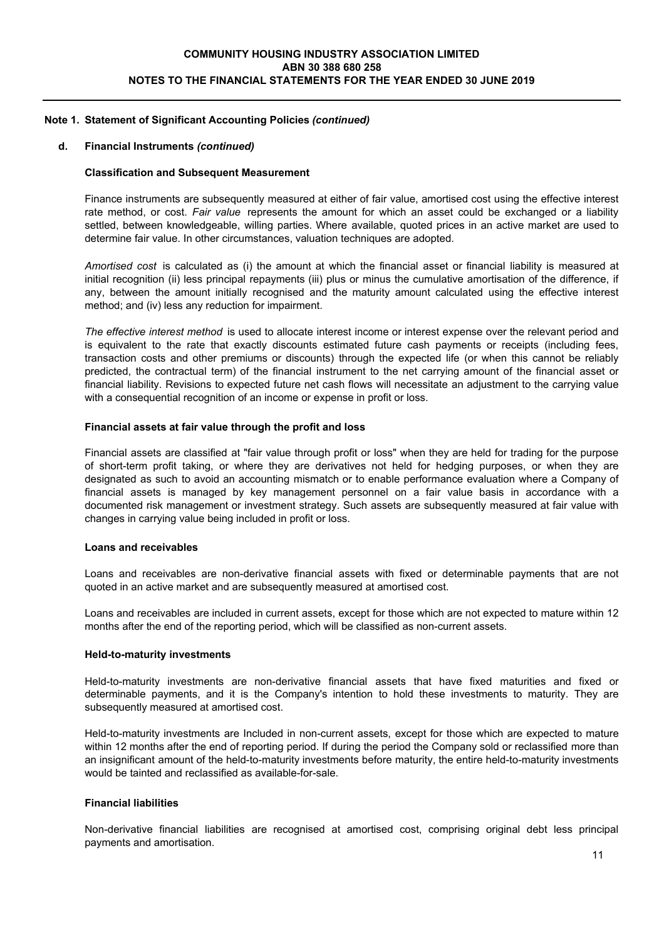#### **d. Financial Instruments** *(continued)*

### **Classification and Subsequent Measurement**

Finance instruments are subsequently measured at either of fair value, amortised cost using the effective interest rate method, or cost. *Fair value* represents the amount for which an asset could be exchanged or a liability settled, between knowledgeable, willing parties. Where available, quoted prices in an active market are used to determine fair value. In other circumstances, valuation techniques are adopted.

*Amortised cost* is calculated as (i) the amount at which the financial asset or financial liability is measured at initial recognition (ii) less principal repayments (iii) plus or minus the cumulative amortisation of the difference, if any, between the amount initially recognised and the maturity amount calculated using the effective interest method; and (iv) less any reduction for impairment.

*The effective interest method* is used to allocate interest income or interest expense over the relevant period and is equivalent to the rate that exactly discounts estimated future cash payments or receipts (including fees, transaction costs and other premiums or discounts) through the expected life (or when this cannot be reliably predicted, the contractual term) of the financial instrument to the net carrying amount of the financial asset or financial liability. Revisions to expected future net cash flows will necessitate an adjustment to the carrying value with a consequential recognition of an income or expense in profit or loss.

#### **Financial assets at fair value through the profit and loss**

Financial assets are classified at "fair value through profit or loss" when they are held for trading for the purpose of short-term profit taking, or where they are derivatives not held for hedging purposes, or when they are designated as such to avoid an accounting mismatch or to enable performance evaluation where a Company of financial assets is managed by key management personnel on a fair value basis in accordance with a documented risk management or investment strategy. Such assets are subsequently measured at fair value with changes in carrying value being included in profit or loss.

#### **Loans and receivables**

Loans and receivables are non-derivative financial assets with fixed or determinable payments that are not quoted in an active market and are subsequently measured at amortised cost.

Loans and receivables are included in current assets, except for those which are not expected to mature within 12 months after the end of the reporting period, which will be classified as non-current assets.

#### **Held-to-maturity investments**

Held-to-maturity investments are non-derivative financial assets that have fixed maturities and fixed or determinable payments, and it is the Company's intention to hold these investments to maturity. They are subsequently measured at amortised cost.

Held-to-maturity investments are Included in non-current assets, except for those which are expected to mature within 12 months after the end of reporting period. If during the period the Company sold or reclassified more than an insignificant amount of the held-to-maturity investments before maturity, the entire held-to-maturity investments would be tainted and reclassified as available-for-sale.

## **Financial liabilities**

Non-derivative financial liabilities are recognised at amortised cost, comprising original debt less principal payments and amortisation.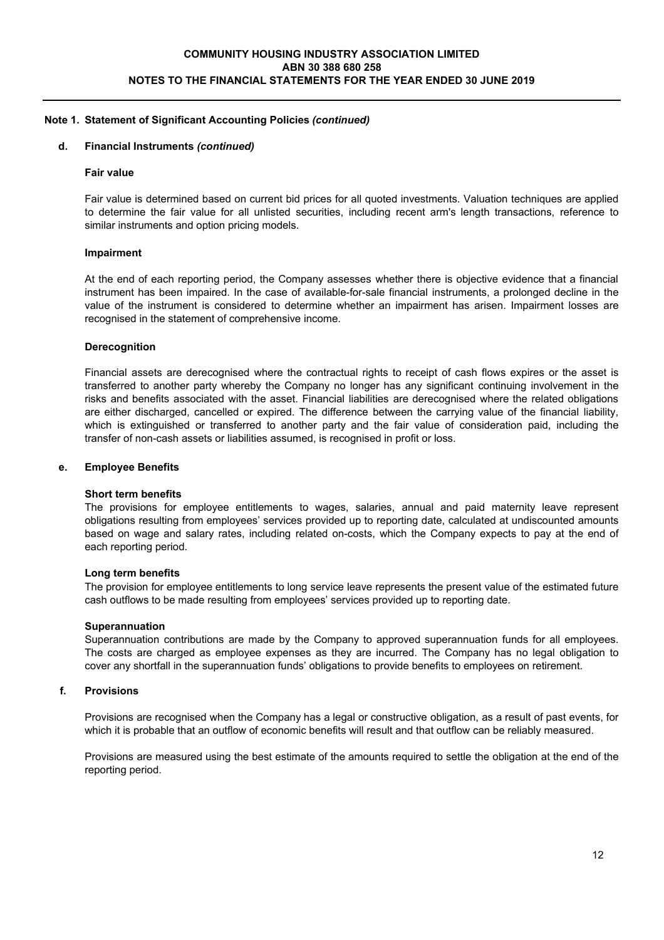### **d. Financial Instruments** *(continued)*

#### **Fair value**

Fair value is determined based on current bid prices for all quoted investments. Valuation techniques are applied to determine the fair value for all unlisted securities, including recent arm's length transactions, reference to similar instruments and option pricing models.

#### **Impairment**

At the end of each reporting period, the Company assesses whether there is objective evidence that a financial instrument has been impaired. In the case of available-for-sale financial instruments, a prolonged decline in the value of the instrument is considered to determine whether an impairment has arisen. Impairment losses are recognised in the statement of comprehensive income.

### **Derecognition**

Financial assets are derecognised where the contractual rights to receipt of cash flows expires or the asset is transferred to another party whereby the Company no longer has any significant continuing involvement in the risks and benefits associated with the asset. Financial liabilities are derecognised where the related obligations are either discharged, cancelled or expired. The difference between the carrying value of the financial liability, which is extinguished or transferred to another party and the fair value of consideration paid, including the transfer of non-cash assets or liabilities assumed, is recognised in profit or loss.

#### **e. Employee Benefits**

#### **Short term benefits**

The provisions for employee entitlements to wages, salaries, annual and paid maternity leave represent obligations resulting from employees' services provided up to reporting date, calculated at undiscounted amounts based on wage and salary rates, including related on-costs, which the Company expects to pay at the end of each reporting period.

#### **Long term benefits**

The provision for employee entitlements to long service leave represents the present value of the estimated future cash outflows to be made resulting from employees' services provided up to reporting date.

#### **Superannuation**

Superannuation contributions are made by the Company to approved superannuation funds for all employees. The costs are charged as employee expenses as they are incurred. The Company has no legal obligation to cover any shortfall in the superannuation funds' obligations to provide benefits to employees on retirement.

#### **f. Provisions**

Provisions are recognised when the Company has a legal or constructive obligation, as a result of past events, for which it is probable that an outflow of economic benefits will result and that outflow can be reliably measured.

Provisions are measured using the best estimate of the amounts required to settle the obligation at the end of the reporting period.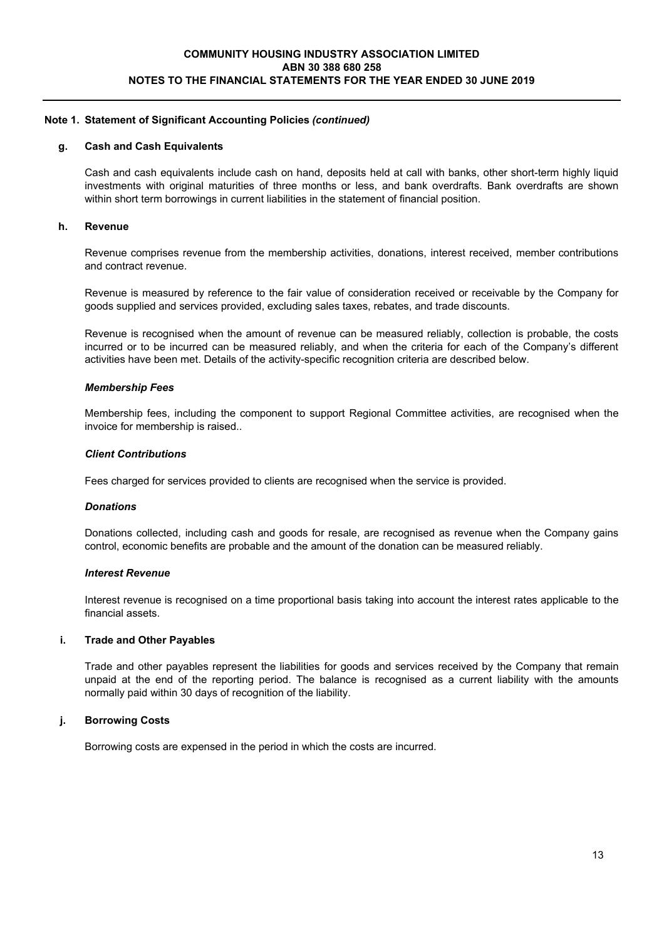### **g. Cash and Cash Equivalents**

Cash and cash equivalents include cash on hand, deposits held at call with banks, other short-term highly liquid investments with original maturities of three months or less, and bank overdrafts. Bank overdrafts are shown within short term borrowings in current liabilities in the statement of financial position.

#### **h. Revenue**

Revenue comprises revenue from the membership activities, donations, interest received, member contributions and contract revenue.

Revenue is measured by reference to the fair value of consideration received or receivable by the Company for goods supplied and services provided, excluding sales taxes, rebates, and trade discounts.

Revenue is recognised when the amount of revenue can be measured reliably, collection is probable, the costs incurred or to be incurred can be measured reliably, and when the criteria for each of the Company's different activities have been met. Details of the activity-specific recognition criteria are described below.

#### *Membership Fees*

Membership fees, including the component to support Regional Committee activities, are recognised when the invoice for membership is raised..

### *Client Contributions*

Fees charged for services provided to clients are recognised when the service is provided.

#### *Donations*

Donations collected, including cash and goods for resale, are recognised as revenue when the Company gains control, economic benefits are probable and the amount of the donation can be measured reliably.

#### *Interest Revenue*

Interest revenue is recognised on a time proportional basis taking into account the interest rates applicable to the financial assets.

#### **i. Trade and Other Payables**

Trade and other payables represent the liabilities for goods and services received by the Company that remain unpaid at the end of the reporting period. The balance is recognised as a current liability with the amounts normally paid within 30 days of recognition of the liability.

# **j. Borrowing Costs**

Borrowing costs are expensed in the period in which the costs are incurred.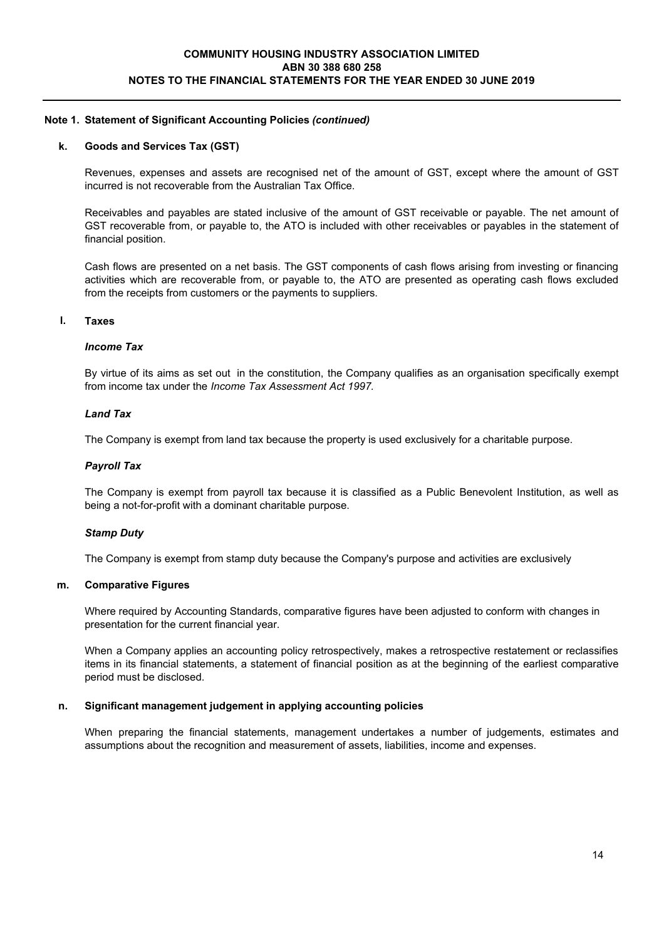### **k. Goods and Services Tax (GST)**

Revenues, expenses and assets are recognised net of the amount of GST, except where the amount of GST incurred is not recoverable from the Australian Tax Office.

Receivables and payables are stated inclusive of the amount of GST receivable or payable. The net amount of GST recoverable from, or payable to, the ATO is included with other receivables or payables in the statement of financial position.

Cash flows are presented on a net basis. The GST components of cash flows arising from investing or financing activities which are recoverable from, or payable to, the ATO are presented as operating cash flows excluded from the receipts from customers or the payments to suppliers.

#### **l. Taxes**

### *Income Tax*

By virtue of its aims as set out in the constitution, the Company qualifies as an organisation specifically exempt from income tax under the *Income Tax Assessment Act 1997.*

### *Land Tax*

The Company is exempt from land tax because the property is used exclusively for a charitable purpose.

### *Payroll Tax*

The Company is exempt from payroll tax because it is classified as a Public Benevolent Institution, as well as being a not-for-profit with a dominant charitable purpose.

### *Stamp Duty*

The Company is exempt from stamp duty because the Company's purpose and activities are exclusively

#### **m. Comparative Figures**

Where required by Accounting Standards, comparative figures have been adjusted to conform with changes in presentation for the current financial year.

When a Company applies an accounting policy retrospectively, makes a retrospective restatement or reclassifies items in its financial statements, a statement of financial position as at the beginning of the earliest comparative period must be disclosed.

## **n. Significant management judgement in applying accounting policies**

When preparing the financial statements, management undertakes a number of judgements, estimates and assumptions about the recognition and measurement of assets, liabilities, income and expenses.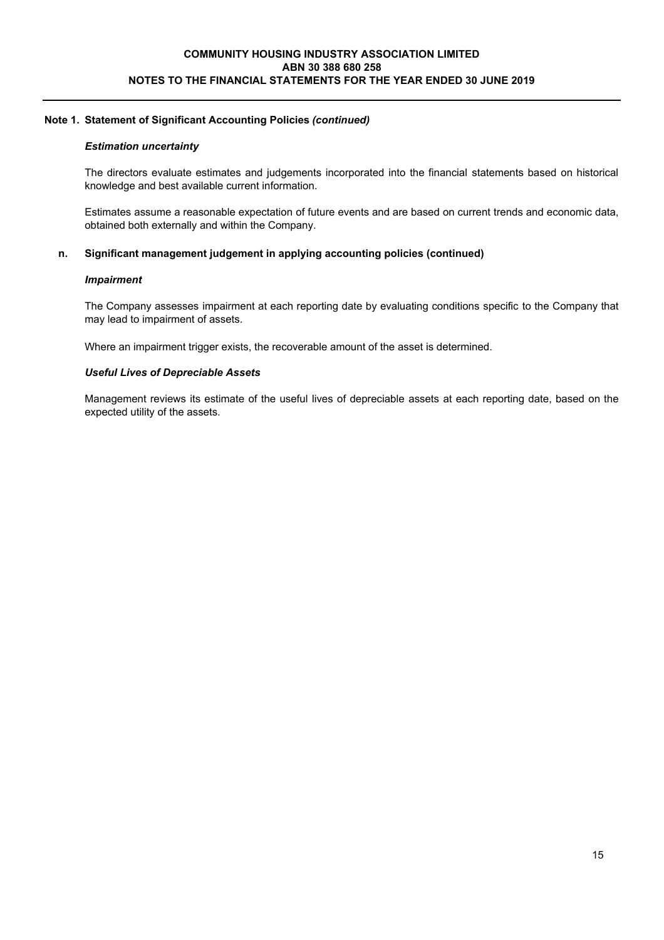### *Estimation uncertainty*

The directors evaluate estimates and judgements incorporated into the financial statements based on historical knowledge and best available current information.

Estimates assume a reasonable expectation of future events and are based on current trends and economic data, obtained both externally and within the Company.

### **n. Significant management judgement in applying accounting policies (continued)**

#### *Impairment*

The Company assesses impairment at each reporting date by evaluating conditions specific to the Company that may lead to impairment of assets.

Where an impairment trigger exists, the recoverable amount of the asset is determined.

#### *Useful Lives of Depreciable Assets*

Management reviews its estimate of the useful lives of depreciable assets at each reporting date, based on the expected utility of the assets.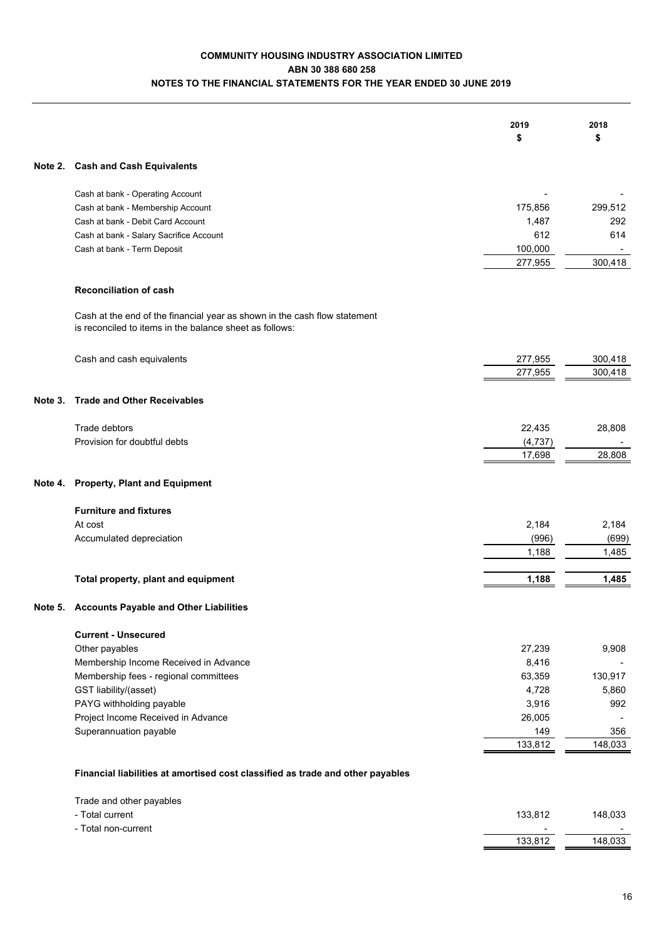# **COMMUNITY HOUSING INDUSTRY ASSOCIATION LIMITED ABN 30 388 680 258 NOTES TO THE FINANCIAL STATEMENTS FOR THE YEAR ENDED 30 JUNE 2019**

| Note 2. Cash and Cash Equivalents<br>Cash at bank - Operating Account<br>175,856<br>299,512<br>Cash at bank - Membership Account<br>1,487<br>Cash at bank - Debit Card Account<br>292<br>612<br>Cash at bank - Salary Sacrifice Account<br>614<br>100,000<br>Cash at bank - Term Deposit<br>300,418<br>277,955<br><b>Reconciliation of cash</b><br>Cash at the end of the financial year as shown in the cash flow statement<br>is reconciled to items in the balance sheet as follows:<br>277,955<br>Cash and cash equivalents<br>300,418<br>277,955<br>300,418<br><b>Trade and Other Receivables</b><br>Note 3.<br>Trade debtors<br>22,435<br>28,808<br>Provision for doubtful debts<br>(4, 737)<br>28,808<br>17,698<br><b>Property, Plant and Equipment</b><br>Note 4.<br><b>Furniture and fixtures</b><br>2,184<br>2,184<br>At cost<br>(996)<br>Accumulated depreciation<br>(699)<br>1,188<br>1,485<br>1,188<br>1,485<br>Total property, plant and equipment<br><b>Accounts Payable and Other Liabilities</b><br>Note 5.<br><b>Current - Unsecured</b><br>Other payables<br>27,239<br>9,908<br>Membership Income Received in Advance<br>8,416<br>Membership fees - regional committees<br>63,359<br>130,917<br>GST liability/(asset)<br>4,728<br>5,860<br>PAYG withholding payable<br>3,916<br>992<br>Project Income Received in Advance<br>26,005<br>Superannuation payable<br>149<br>356<br>133,812<br>148,033<br>Financial liabilities at amortised cost classified as trade and other payables<br>Trade and other payables<br>- Total current<br>133,812<br>148,033<br>- Total non-current<br>133,812<br>148,033 |  | 2019<br>\$ | 2018<br>\$ |
|--------------------------------------------------------------------------------------------------------------------------------------------------------------------------------------------------------------------------------------------------------------------------------------------------------------------------------------------------------------------------------------------------------------------------------------------------------------------------------------------------------------------------------------------------------------------------------------------------------------------------------------------------------------------------------------------------------------------------------------------------------------------------------------------------------------------------------------------------------------------------------------------------------------------------------------------------------------------------------------------------------------------------------------------------------------------------------------------------------------------------------------------------------------------------------------------------------------------------------------------------------------------------------------------------------------------------------------------------------------------------------------------------------------------------------------------------------------------------------------------------------------------------------------------------------------------------------------------------------------------------|--|------------|------------|
|                                                                                                                                                                                                                                                                                                                                                                                                                                                                                                                                                                                                                                                                                                                                                                                                                                                                                                                                                                                                                                                                                                                                                                                                                                                                                                                                                                                                                                                                                                                                                                                                                          |  |            |            |
|                                                                                                                                                                                                                                                                                                                                                                                                                                                                                                                                                                                                                                                                                                                                                                                                                                                                                                                                                                                                                                                                                                                                                                                                                                                                                                                                                                                                                                                                                                                                                                                                                          |  |            |            |
|                                                                                                                                                                                                                                                                                                                                                                                                                                                                                                                                                                                                                                                                                                                                                                                                                                                                                                                                                                                                                                                                                                                                                                                                                                                                                                                                                                                                                                                                                                                                                                                                                          |  |            |            |
|                                                                                                                                                                                                                                                                                                                                                                                                                                                                                                                                                                                                                                                                                                                                                                                                                                                                                                                                                                                                                                                                                                                                                                                                                                                                                                                                                                                                                                                                                                                                                                                                                          |  |            |            |
|                                                                                                                                                                                                                                                                                                                                                                                                                                                                                                                                                                                                                                                                                                                                                                                                                                                                                                                                                                                                                                                                                                                                                                                                                                                                                                                                                                                                                                                                                                                                                                                                                          |  |            |            |
|                                                                                                                                                                                                                                                                                                                                                                                                                                                                                                                                                                                                                                                                                                                                                                                                                                                                                                                                                                                                                                                                                                                                                                                                                                                                                                                                                                                                                                                                                                                                                                                                                          |  |            |            |
|                                                                                                                                                                                                                                                                                                                                                                                                                                                                                                                                                                                                                                                                                                                                                                                                                                                                                                                                                                                                                                                                                                                                                                                                                                                                                                                                                                                                                                                                                                                                                                                                                          |  |            |            |
|                                                                                                                                                                                                                                                                                                                                                                                                                                                                                                                                                                                                                                                                                                                                                                                                                                                                                                                                                                                                                                                                                                                                                                                                                                                                                                                                                                                                                                                                                                                                                                                                                          |  |            |            |
|                                                                                                                                                                                                                                                                                                                                                                                                                                                                                                                                                                                                                                                                                                                                                                                                                                                                                                                                                                                                                                                                                                                                                                                                                                                                                                                                                                                                                                                                                                                                                                                                                          |  |            |            |
|                                                                                                                                                                                                                                                                                                                                                                                                                                                                                                                                                                                                                                                                                                                                                                                                                                                                                                                                                                                                                                                                                                                                                                                                                                                                                                                                                                                                                                                                                                                                                                                                                          |  |            |            |
|                                                                                                                                                                                                                                                                                                                                                                                                                                                                                                                                                                                                                                                                                                                                                                                                                                                                                                                                                                                                                                                                                                                                                                                                                                                                                                                                                                                                                                                                                                                                                                                                                          |  |            |            |
|                                                                                                                                                                                                                                                                                                                                                                                                                                                                                                                                                                                                                                                                                                                                                                                                                                                                                                                                                                                                                                                                                                                                                                                                                                                                                                                                                                                                                                                                                                                                                                                                                          |  |            |            |
|                                                                                                                                                                                                                                                                                                                                                                                                                                                                                                                                                                                                                                                                                                                                                                                                                                                                                                                                                                                                                                                                                                                                                                                                                                                                                                                                                                                                                                                                                                                                                                                                                          |  |            |            |
|                                                                                                                                                                                                                                                                                                                                                                                                                                                                                                                                                                                                                                                                                                                                                                                                                                                                                                                                                                                                                                                                                                                                                                                                                                                                                                                                                                                                                                                                                                                                                                                                                          |  |            |            |
|                                                                                                                                                                                                                                                                                                                                                                                                                                                                                                                                                                                                                                                                                                                                                                                                                                                                                                                                                                                                                                                                                                                                                                                                                                                                                                                                                                                                                                                                                                                                                                                                                          |  |            |            |
|                                                                                                                                                                                                                                                                                                                                                                                                                                                                                                                                                                                                                                                                                                                                                                                                                                                                                                                                                                                                                                                                                                                                                                                                                                                                                                                                                                                                                                                                                                                                                                                                                          |  |            |            |
|                                                                                                                                                                                                                                                                                                                                                                                                                                                                                                                                                                                                                                                                                                                                                                                                                                                                                                                                                                                                                                                                                                                                                                                                                                                                                                                                                                                                                                                                                                                                                                                                                          |  |            |            |
|                                                                                                                                                                                                                                                                                                                                                                                                                                                                                                                                                                                                                                                                                                                                                                                                                                                                                                                                                                                                                                                                                                                                                                                                                                                                                                                                                                                                                                                                                                                                                                                                                          |  |            |            |
|                                                                                                                                                                                                                                                                                                                                                                                                                                                                                                                                                                                                                                                                                                                                                                                                                                                                                                                                                                                                                                                                                                                                                                                                                                                                                                                                                                                                                                                                                                                                                                                                                          |  |            |            |
|                                                                                                                                                                                                                                                                                                                                                                                                                                                                                                                                                                                                                                                                                                                                                                                                                                                                                                                                                                                                                                                                                                                                                                                                                                                                                                                                                                                                                                                                                                                                                                                                                          |  |            |            |
|                                                                                                                                                                                                                                                                                                                                                                                                                                                                                                                                                                                                                                                                                                                                                                                                                                                                                                                                                                                                                                                                                                                                                                                                                                                                                                                                                                                                                                                                                                                                                                                                                          |  |            |            |
|                                                                                                                                                                                                                                                                                                                                                                                                                                                                                                                                                                                                                                                                                                                                                                                                                                                                                                                                                                                                                                                                                                                                                                                                                                                                                                                                                                                                                                                                                                                                                                                                                          |  |            |            |
|                                                                                                                                                                                                                                                                                                                                                                                                                                                                                                                                                                                                                                                                                                                                                                                                                                                                                                                                                                                                                                                                                                                                                                                                                                                                                                                                                                                                                                                                                                                                                                                                                          |  |            |            |
|                                                                                                                                                                                                                                                                                                                                                                                                                                                                                                                                                                                                                                                                                                                                                                                                                                                                                                                                                                                                                                                                                                                                                                                                                                                                                                                                                                                                                                                                                                                                                                                                                          |  |            |            |
|                                                                                                                                                                                                                                                                                                                                                                                                                                                                                                                                                                                                                                                                                                                                                                                                                                                                                                                                                                                                                                                                                                                                                                                                                                                                                                                                                                                                                                                                                                                                                                                                                          |  |            |            |
|                                                                                                                                                                                                                                                                                                                                                                                                                                                                                                                                                                                                                                                                                                                                                                                                                                                                                                                                                                                                                                                                                                                                                                                                                                                                                                                                                                                                                                                                                                                                                                                                                          |  |            |            |
|                                                                                                                                                                                                                                                                                                                                                                                                                                                                                                                                                                                                                                                                                                                                                                                                                                                                                                                                                                                                                                                                                                                                                                                                                                                                                                                                                                                                                                                                                                                                                                                                                          |  |            |            |
|                                                                                                                                                                                                                                                                                                                                                                                                                                                                                                                                                                                                                                                                                                                                                                                                                                                                                                                                                                                                                                                                                                                                                                                                                                                                                                                                                                                                                                                                                                                                                                                                                          |  |            |            |
|                                                                                                                                                                                                                                                                                                                                                                                                                                                                                                                                                                                                                                                                                                                                                                                                                                                                                                                                                                                                                                                                                                                                                                                                                                                                                                                                                                                                                                                                                                                                                                                                                          |  |            |            |
|                                                                                                                                                                                                                                                                                                                                                                                                                                                                                                                                                                                                                                                                                                                                                                                                                                                                                                                                                                                                                                                                                                                                                                                                                                                                                                                                                                                                                                                                                                                                                                                                                          |  |            |            |
|                                                                                                                                                                                                                                                                                                                                                                                                                                                                                                                                                                                                                                                                                                                                                                                                                                                                                                                                                                                                                                                                                                                                                                                                                                                                                                                                                                                                                                                                                                                                                                                                                          |  |            |            |
|                                                                                                                                                                                                                                                                                                                                                                                                                                                                                                                                                                                                                                                                                                                                                                                                                                                                                                                                                                                                                                                                                                                                                                                                                                                                                                                                                                                                                                                                                                                                                                                                                          |  |            |            |
|                                                                                                                                                                                                                                                                                                                                                                                                                                                                                                                                                                                                                                                                                                                                                                                                                                                                                                                                                                                                                                                                                                                                                                                                                                                                                                                                                                                                                                                                                                                                                                                                                          |  |            |            |
|                                                                                                                                                                                                                                                                                                                                                                                                                                                                                                                                                                                                                                                                                                                                                                                                                                                                                                                                                                                                                                                                                                                                                                                                                                                                                                                                                                                                                                                                                                                                                                                                                          |  |            |            |
|                                                                                                                                                                                                                                                                                                                                                                                                                                                                                                                                                                                                                                                                                                                                                                                                                                                                                                                                                                                                                                                                                                                                                                                                                                                                                                                                                                                                                                                                                                                                                                                                                          |  |            |            |
|                                                                                                                                                                                                                                                                                                                                                                                                                                                                                                                                                                                                                                                                                                                                                                                                                                                                                                                                                                                                                                                                                                                                                                                                                                                                                                                                                                                                                                                                                                                                                                                                                          |  |            |            |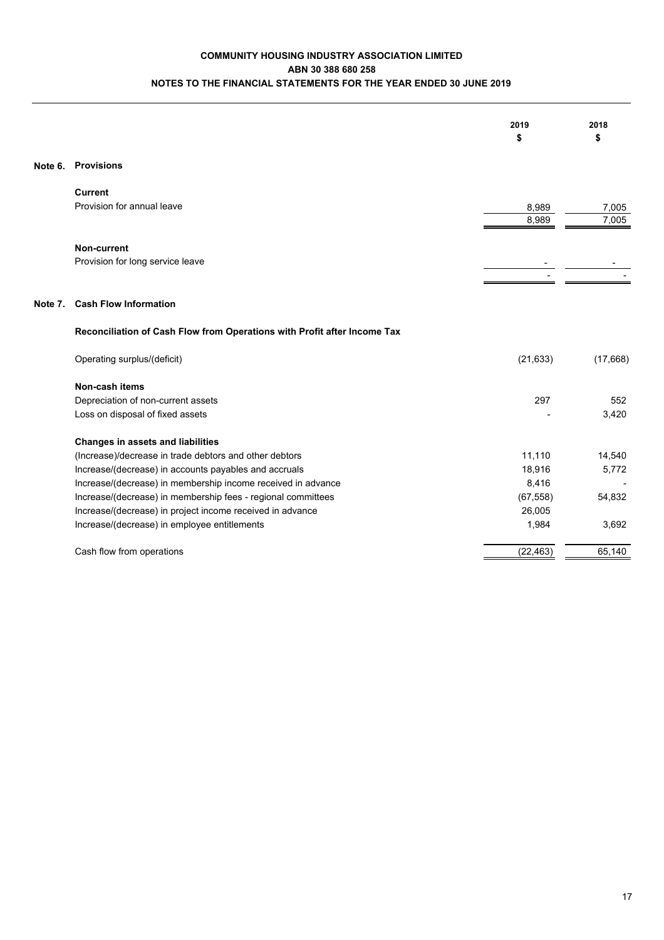# **COMMUNITY HOUSING INDUSTRY ASSOCIATION LIMITED ABN 30 388 680 258 NOTES TO THE FINANCIAL STATEMENTS FOR THE YEAR ENDED 30 JUNE 2019**

|         |                                                                          | 2019<br>\$     | 2018<br>\$     |
|---------|--------------------------------------------------------------------------|----------------|----------------|
|         | Note 6. Provisions                                                       |                |                |
|         | <b>Current</b>                                                           |                |                |
|         | Provision for annual leave                                               | 8,989<br>8,989 | 7,005<br>7,005 |
|         | Non-current                                                              |                |                |
|         | Provision for long service leave                                         |                |                |
|         |                                                                          |                |                |
| Note 7. | <b>Cash Flow Information</b>                                             |                |                |
|         | Reconciliation of Cash Flow from Operations with Profit after Income Tax |                |                |
|         | Operating surplus/(deficit)                                              | (21, 633)      | (17,668)       |
|         | Non-cash items                                                           |                |                |
|         | Depreciation of non-current assets                                       | 297            | 552            |
|         | Loss on disposal of fixed assets                                         |                | 3,420          |
|         | <b>Changes in assets and liabilities</b>                                 |                |                |
|         | (Increase)/decrease in trade debtors and other debtors                   | 11,110         | 14,540         |
|         | Increase/(decrease) in accounts payables and accruals                    | 18,916         | 5,772          |
|         | Increase/(decrease) in membership income received in advance             | 8,416          |                |
|         | Increase/(decrease) in membership fees - regional committees             | (67, 558)      | 54,832         |
|         | Increase/(decrease) in project income received in advance                | 26,005         |                |
|         | Increase/(decrease) in employee entitlements                             | 1,984          | 3,692          |
|         | Cash flow from operations                                                | (22, 463)      | 65,140         |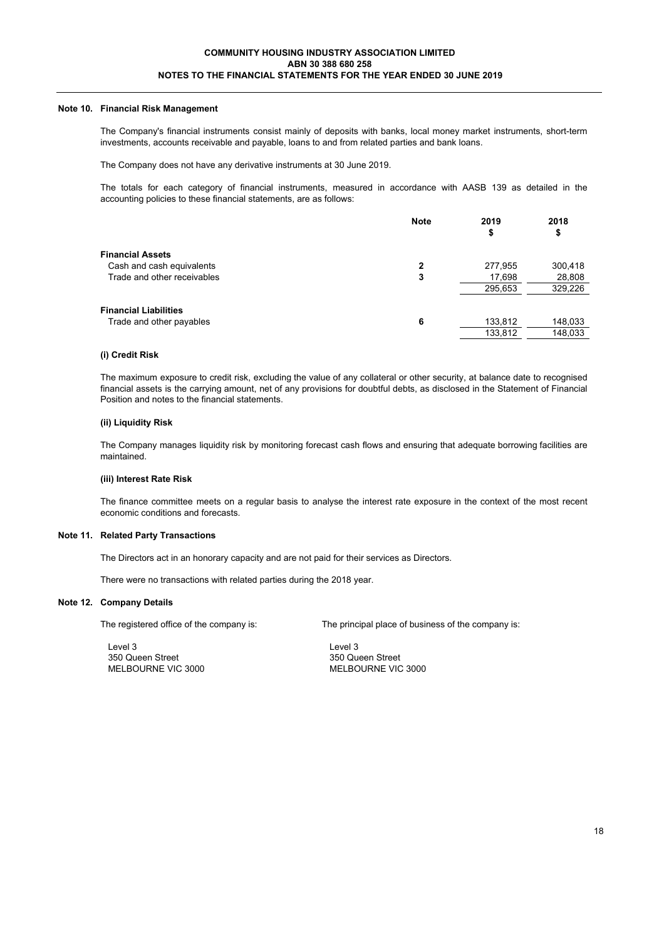#### **Note 10. Financial Risk Management**

The Company's financial instruments consist mainly of deposits with banks, local money market instruments, short-term investments, accounts receivable and payable, loans to and from related parties and bank loans.

The Company does not have any derivative instruments at 30 June 2019.

The totals for each category of financial instruments, measured in accordance with AASB 139 as detailed in the accounting policies to these financial statements, are as follows:

|                              | <b>Note</b> | 2019<br>\$ | 2018<br>\$ |
|------------------------------|-------------|------------|------------|
| <b>Financial Assets</b>      |             |            |            |
| Cash and cash equivalents    | 2           | 277,955    | 300,418    |
| Trade and other receivables  | 3           | 17,698     | 28,808     |
|                              |             | 295,653    | 329,226    |
| <b>Financial Liabilities</b> |             |            |            |
| Trade and other payables     | 6           | 133,812    | 148,033    |
|                              |             | 133,812    | 148,033    |

#### **(i) Credit Risk**

The maximum exposure to credit risk, excluding the value of any collateral or other security, at balance date to recognised financial assets is the carrying amount, net of any provisions for doubtful debts, as disclosed in the Statement of Financial Position and notes to the financial statements.

#### **(ii) Liquidity Risk**

The Company manages liquidity risk by monitoring forecast cash flows and ensuring that adequate borrowing facilities are maintained.

#### **(iii) Interest Rate Risk**

The finance committee meets on a regular basis to analyse the interest rate exposure in the context of the most recent economic conditions and forecasts.

#### **Note 11. Related Party Transactions**

The Directors act in an honorary capacity and are not paid for their services as Directors.

There were no transactions with related parties during the 2018 year.

#### **Note 12. Company Details**

Level 3 Level 3 350 Queen Street 350 Queen Street 350 Queen Street 350 Queen Street 350 Queen Street

The registered office of the company is: The principal place of business of the company is:

MELBOURNE VIC 3000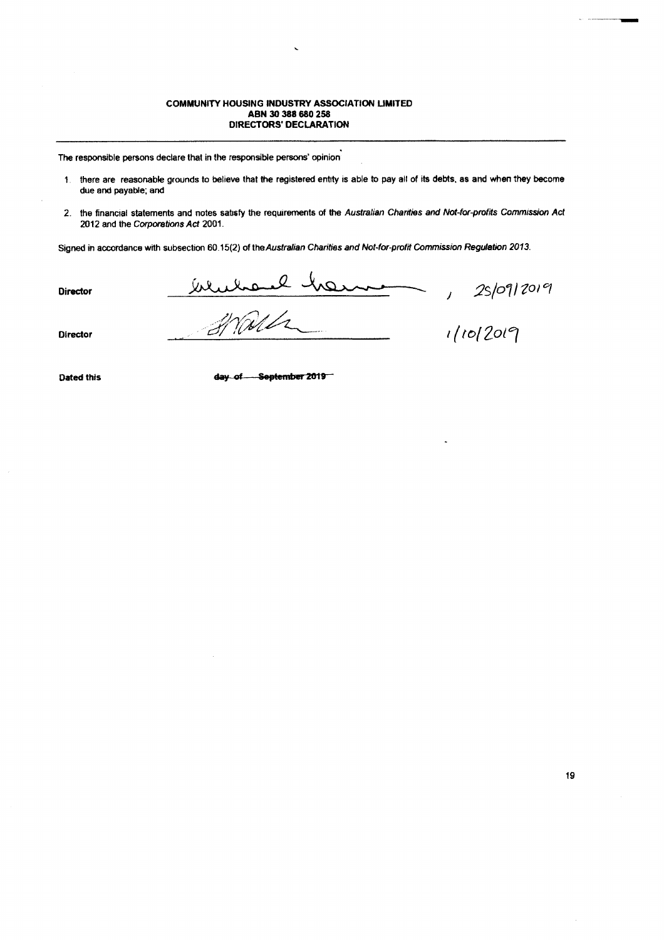#### **COMMUNITY HOUSING INDUSTRY ASSOCIATION LIMITED** ABN 30 388 680 258 DIRECTORS' DECLARATION

The responsible persons declare that in the responsible persons' opinion

- 1. there are reasonable grounds to believe that the registered entity is able to pay all of its debts, as and when they become due and payable; and
- 2. the financial statements and notes satisfy the requirements of the Australian Charities and Not-for-profits Commission Act 2012 and the Corporations Act 2001.

Signed in accordance with subsection 60.15(2) of the Australian Charities and Not-for-profit Commission Regulation 2013.

**Director** 

wwwave he

25/09/2019  $\mathcal{L}^{\mathcal{L}}$ 

**Director** 

 $1/10/2019$ 

**Dated this** 

day of September 2019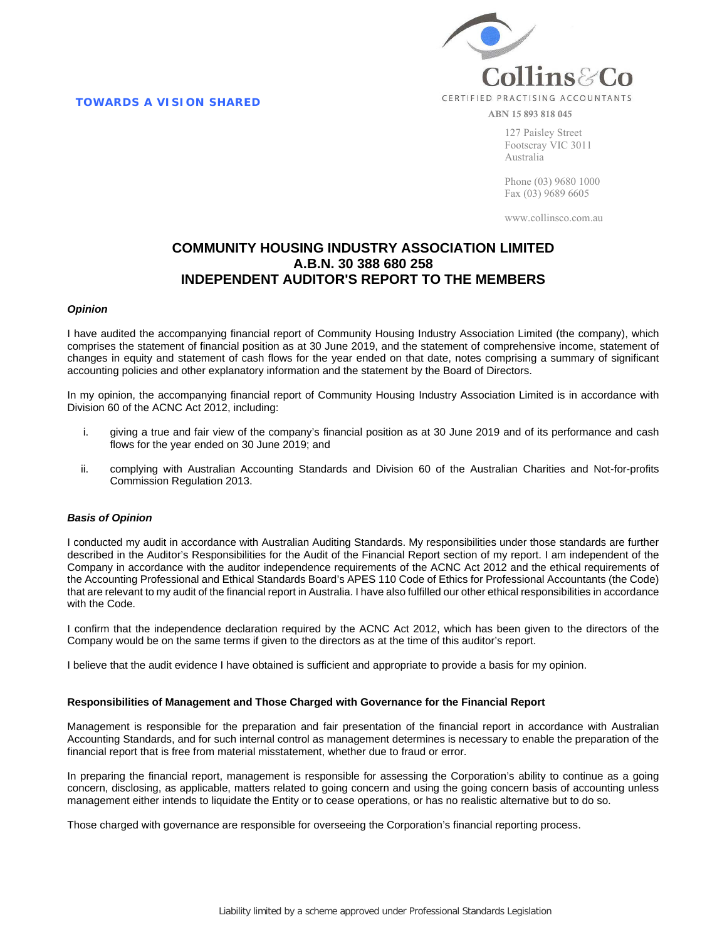**TOWARDS A VISION SHARED** 



ABN 15 893 818 045

127 Paisley Street Footscray VIC 3011 Australia

Phone (03) 9680 1000 Fax (03) 9689 6605

www.collinsco.com.au

# **COMMUNITY HOUSING INDUSTRY ASSOCIATION LIMITED A.B.N. 30 388 680 258 INDEPENDENT AUDITOR'S REPORT TO THE MEMBERS**

#### *Opinion*

I have audited the accompanying financial report of Community Housing Industry Association Limited (the company), which comprises the statement of financial position as at 30 June 2019, and the statement of comprehensive income, statement of changes in equity and statement of cash flows for the year ended on that date, notes comprising a summary of significant accounting policies and other explanatory information and the statement by the Board of Directors.

In my opinion, the accompanying financial report of Community Housing Industry Association Limited is in accordance with Division 60 of the ACNC Act 2012, including:

- i. giving a true and fair view of the company's financial position as at 30 June 2019 and of its performance and cash flows for the year ended on 30 June 2019; and
- ii. complying with Australian Accounting Standards and Division 60 of the Australian Charities and Not-for-profits Commission Regulation 2013.

#### *Basis of Opinion*

I conducted my audit in accordance with Australian Auditing Standards. My responsibilities under those standards are further described in the Auditor's Responsibilities for the Audit of the Financial Report section of my report. I am independent of the Company in accordance with the auditor independence requirements of the ACNC Act 2012 and the ethical requirements of the Accounting Professional and Ethical Standards Board's APES 110 Code of Ethics for Professional Accountants (the Code) that are relevant to my audit of the financial report in Australia. I have also fulfilled our other ethical responsibilities in accordance with the Code.

I confirm that the independence declaration required by the ACNC Act 2012, which has been given to the directors of the Company would be on the same terms if given to the directors as at the time of this auditor's report.

I believe that the audit evidence I have obtained is sufficient and appropriate to provide a basis for my opinion.

#### **Responsibilities of Management and Those Charged with Governance for the Financial Report**

Management is responsible for the preparation and fair presentation of the financial report in accordance with Australian Accounting Standards, and for such internal control as management determines is necessary to enable the preparation of the financial report that is free from material misstatement, whether due to fraud or error.

In preparing the financial report, management is responsible for assessing the Corporation's ability to continue as a going concern, disclosing, as applicable, matters related to going concern and using the going concern basis of accounting unless management either intends to liquidate the Entity or to cease operations, or has no realistic alternative but to do so.

Those charged with governance are responsible for overseeing the Corporation's financial reporting process.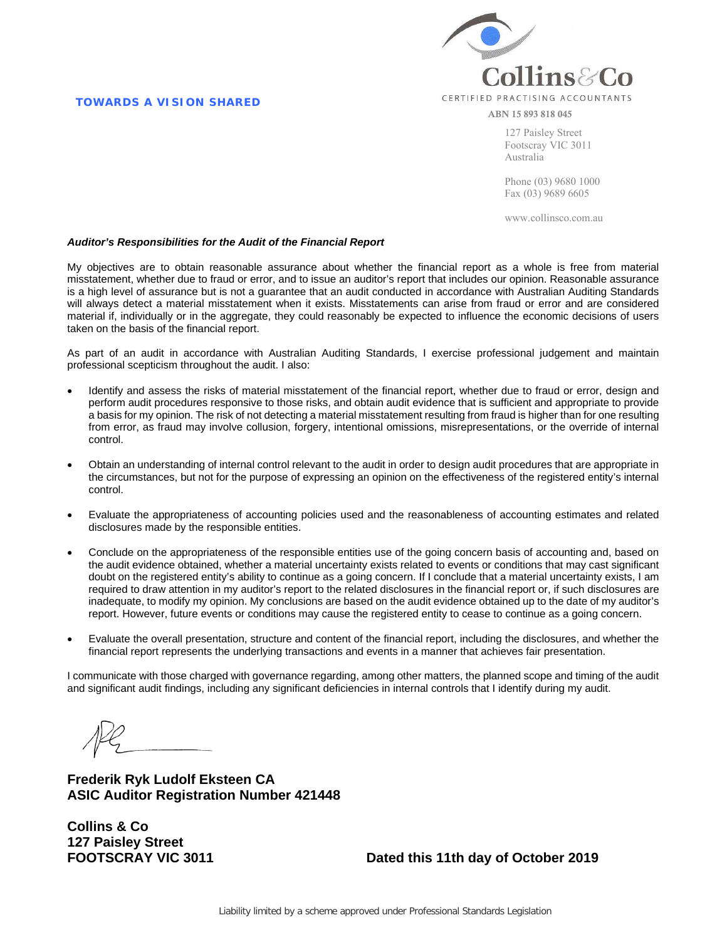#### **TOWARDS A VISION SHARED**



ABN 15 893 818 045

127 Paisley Street Footscray VIC 3011 Australia

Phone (03) 9680 1000 Fax (03) 9689 6605

www.collinsco.com.au

#### *Auditor's Responsibilities for the Audit of the Financial Report*

My objectives are to obtain reasonable assurance about whether the financial report as a whole is free from material misstatement, whether due to fraud or error, and to issue an auditor's report that includes our opinion. Reasonable assurance is a high level of assurance but is not a guarantee that an audit conducted in accordance with Australian Auditing Standards will always detect a material misstatement when it exists. Misstatements can arise from fraud or error and are considered material if, individually or in the aggregate, they could reasonably be expected to influence the economic decisions of users taken on the basis of the financial report.

As part of an audit in accordance with Australian Auditing Standards, I exercise professional judgement and maintain professional scepticism throughout the audit. I also:

- Identify and assess the risks of material misstatement of the financial report, whether due to fraud or error, design and perform audit procedures responsive to those risks, and obtain audit evidence that is sufficient and appropriate to provide a basis for my opinion. The risk of not detecting a material misstatement resulting from fraud is higher than for one resulting from error, as fraud may involve collusion, forgery, intentional omissions, misrepresentations, or the override of internal control.
- Obtain an understanding of internal control relevant to the audit in order to design audit procedures that are appropriate in the circumstances, but not for the purpose of expressing an opinion on the effectiveness of the registered entity's internal control.
- Evaluate the appropriateness of accounting policies used and the reasonableness of accounting estimates and related disclosures made by the responsible entities.
- Conclude on the appropriateness of the responsible entities use of the going concern basis of accounting and, based on the audit evidence obtained, whether a material uncertainty exists related to events or conditions that may cast significant doubt on the registered entity's ability to continue as a going concern. If I conclude that a material uncertainty exists, I am required to draw attention in my auditor's report to the related disclosures in the financial report or, if such disclosures are inadequate, to modify my opinion. My conclusions are based on the audit evidence obtained up to the date of my auditor's report. However, future events or conditions may cause the registered entity to cease to continue as a going concern.
- Evaluate the overall presentation, structure and content of the financial report, including the disclosures, and whether the financial report represents the underlying transactions and events in a manner that achieves fair presentation.

I communicate with those charged with governance regarding, among other matters, the planned scope and timing of the audit and significant audit findings, including any significant deficiencies in internal controls that I identify during my audit.

**Frederik Ryk Ludolf Eksteen CA ASIC Auditor Registration Number 421448**

**Collins & Co 127 Paisley Street**

**FOOTSCRAY VIC 3011 Dated this 11th day of October 2019**